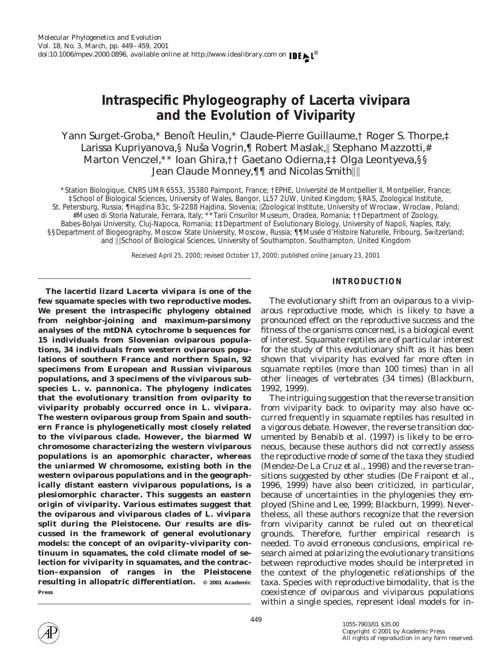# **Intraspecific Phylogeography of** *Lacerta vivipara* **and the Evolution of Viviparity**

Yann Surget-Groba,\* Benoît Heulin,\* Claude-Pierre Guillaume,† Roger S. Thorpe,‡ Larissa Kupriyanova,§ Nuša Vogrin,¶ Robert Maslak, Stephano Mazzotti,# Marton Venczel,\*\* Ioan Ghira,†† Gaetano Odierna,‡‡ Olga Leontyeva,§§ Jean Claude Monney, [1] and Nicolas Smith||||

\**Station Biologique, CNRS UMR 6553, 35380 Paimpont, France;* †*EPHE, Universite´ de Montpellier II, Montpellier, France;* ‡*School of Biological Sciences, University of Wales, Bangor, LL57 2UW, United Kingdom;* §*RAS, Zoological Institute, St. Petersburg, Russia;* ¶*Hajdina 83c, SI-2288 Hajdina, Slovenia;* \*Zoological Institute, University of Wroclaw, Wroclaw, Poland;* #*Museo di Storia Naturale, Ferrara, Italy;* \*\**Tarii Crisurilor Museum, Oradea, Romania;* ††*Department of Zoology, Babes-Bolyai University, Cluj-Napoca, Romania;* ‡‡*Department of Evolutionary Biology, University of Napoli, Naples, Italy;* §§Department of Biogeography, Moscow State University, Moscow, Russia; ¶¶Musée d'Histoire Naturelle, Fribourg, Switzerland; *and* \ \*School of Biological Sciences, University of Southampton, Southampton, United Kingdom*

Received April 25, 2000; revised October 17, 2000; published online January 23, 2001

**The lacertid lizard** *Lacerta vivipara* **is one of the few squamate species with two reproductive modes. We present the intraspecific phylogeny obtained from neighbor-joining and maximum-parsimony analyses of the mtDNA cytochrome** *b* **sequences for 15 individuals from Slovenian oviparous populations, 34 individuals from western oviparous populations of southern France and northern Spain, 92 specimens from European and Russian viviparous populations, and 3 specimens of the viviparous subspecies** *L. v. pannonica.* **The phylogeny indicates that the evolutionary transition from oviparity to viviparity probably occurred once in** *L. vivipara.* **The western oviparous group from Spain and southern France is phylogenetically most closely related to the viviparous clade. However, the biarmed W chromosome characterizing the western viviparous populations is an apomorphic character, whereas the uniarmed W chromosome, existing both in the western oviparous populations and in the geographically distant eastern viviparous populations, is a plesiomorphic character. This suggests an eastern origin of viviparity. Various estimates suggest that the oviparous and viviparous clades of** *L. vivipara* **split during the Pleistocene. Our results are discussed in the framework of general evolutionary models: the concept of an oviparity–viviparity continuum in squamates, the cold climate model of selection for viviparity in squamates, and the contraction–expansion of ranges in the Pleistocene resulting in allopatric differentiation. © 2001 Academic Press**

## **INTRODUCTION**

The evolutionary shift from an oviparous to a viviparous reproductive mode, which is likely to have a pronounced effect on the reproductive success and the fitness of the organisms concerned, is a biological event of interest. Squamate reptiles are of particular interest for the study of this evolutionary shift as it has been shown that viviparity has evolved far more often in squamate reptiles (more than 100 times) than in all other lineages of vertebrates (34 times) (Blackburn, 1992, 1999).

The intriguing suggestion that the reverse transition from viviparity back to oviparity may also have occurred frequently in squamate reptiles has resulted in a vigorous debate. However, the reverse transition documented by Benabib *et al.* (1997) is likely to be erroneous, because these authors did not correctly assess the reproductive mode of some of the taxa they studied (Mendez-De La Cruz *et al.,* 1998) and the reverse transitions suggested by other studies (De Fraipont *et al.,* 1996, 1999) have also been criticized, in particular, because of uncertainties in the phylogenies they employed (Shine and Lee, 1999; Blackburn, 1999). Nevertheless, all these authors recognize that the reversion from viviparity cannot be ruled out on theoretical grounds. Therefore, further empirical research is needed. To avoid erroneous conclusions, empirical research aimed at polarizing the evolutionary transitions between reproductive modes should be interpreted in the context of the phylogenetic relationships of the taxa. Species with reproductive bimodality, that is the coexistence of oviparous and viviparous populations within a single species, represent ideal models for in-

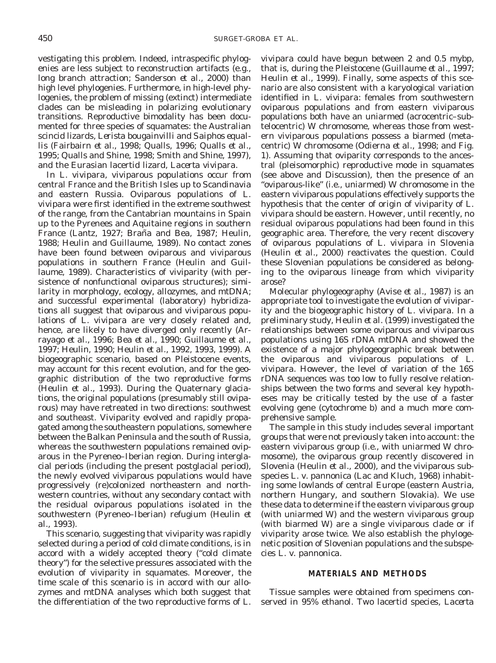vestigating this problem. Indeed, intraspecific phylogenies are less subject to reconstruction artifacts (e.g., long branch attraction; Sanderson *et al.,* 2000) than high level phylogenies. Furthermore, in high-level phylogenies, the problem of missing (extinct) intermediate clades can be misleading in polarizing evolutionary transitions. Reproductive bimodality has been documented for three species of squamates: the Australian scincid lizards, *Lerista bougainvilli* and *Saiphos equallis* (Fairbairn *et al.,* 1998; Qualls, 1996; Qualls *et al.,* 1995; Qualls and Shine, 1998; Smith and Shine, 1997), and the Eurasian lacertid lizard, *Lacerta vivipara.*

In *L. vivipara,* viviparous populations occur from central France and the British Isles up to Scandinavia and eastern Russia. Oviparous populations of *L. vivipara* were first identified in the extreme southwest of the range, from the Cantabrian mountains in Spain up to the Pyrenees and Aquitaine regions in southern France (Lantz, 1927; Braña and Bea, 1987; Heulin, 1988; Heulin and Guillaume, 1989). No contact zones have been found between oviparous and viviparous populations in southern France (Heulin and Guillaume, 1989). Characteristics of viviparity (with persistence of nonfunctional oviparous structures); similarity in morphology, ecology, allozymes, and mtDNA; and successful experimental (laboratory) hybridizations all suggest that oviparous and viviparous populations of *L. vivipara* are very closely related and, hence, are likely to have diverged only recently (Arrayago *et al.,* 1996; Bea *et al.,* 1990; Guillaume *et al.,* 1997; Heulin, 1990; Heulin *et al.,* 1992, 1993, 1999). A biogeographic scenario, based on Pleistocene events, may account for this recent evolution, and for the geographic distribution of the two reproductive forms (Heulin *et al.,* 1993). During the Quaternary glaciations, the original populations (presumably still oviparous) may have retreated in two directions: southwest and southeast. Viviparity evolved and rapidly propagated among the southeastern populations, somewhere between the Balkan Peninsula and the south of Russia, whereas the southwestern populations remained oviparous in the Pyreneo–Iberian region. During interglacial periods (including the present postglacial period), the newly evolved viviparous populations would have progressively (re)colonized northeastern and northwestern countries, without any secondary contact with the residual oviparous populations isolated in the southwestern (Pyreneo–Iberian) refugium (Heulin *et al.,* 1993).

This scenario, suggesting that viviparity was rapidly selected during a period of cold climate conditions, is in accord with a widely accepted theory ("cold climate theory") for the selective pressures associated with the evolution of viviparity in squamates. Moreover, the time scale of this scenario is in accord with our allozymes and mtDNA analyses which both suggest that the differentiation of the two reproductive forms of *L.*

*vivipara* could have begun between 2 and 0.5 mybp, that is, during the Pleistocene (Guillaume *et al.,* 1997; Heulin *et al.,* 1999). Finally, some aspects of this scenario are also consistent with a karyological variation identified in *L. vivipara:* females from southwestern oviparous populations and from eastern viviparous populations both have an uniarmed (acrocentric–subtelocentric) W chromosome, whereas those from western viviparous populations possess a biarmed (metacentric) W chromosome (Odierna *et al.,* 1998; and Fig. 1). Assuming that oviparity corresponds to the ancestral (pleisomorphic) reproductive mode in squamates (see above and Discussion), then the presence of an "oviparous-like" (i.e., uniarmed) W chromosome in the eastern viviparous populations effectively supports the hypothesis that the center of origin of viviparity of *L. vivipara* should be eastern. However, until recently, no residual oviparous populations had been found in this geographic area. Therefore, the very recent discovery of oviparous populations of *L. vivipara* in Slovenia (Heulin *et al.,* 2000) reactivates the question. Could these Slovenian populations be considered as belonging to the oviparous lineage from which viviparity arose?

Molecular phylogeography (Avise *et al.,* 1987) is an appropriate tool to investigate the evolution of viviparity and the biogeographic history of *L. vivipara.* In a preliminary study, Heulin *et al.* (1999) investigated the relationships between some oviparous and viviparous populations using 16S rDNA mtDNA and showed the existence of a major phylogeographic break between the oviparous and viviparous populations of *L. vivipara.* However, the level of variation of the 16S rDNA sequences was too low to fully resolve relationships between the two forms and several key hypotheses may be critically tested by the use of a faster evolving gene (cytochrome *b*) and a much more comprehensive sample.

The sample in this study includes several important groups that were not previously taken into account: the eastern viviparous group (i.e., with uniarmed W chromosome), the oviparous group recently discovered in Slovenia (Heulin *et al.,* 2000), and the viviparous subspecies *L. v. pannonica* (Lac and Kluch, 1968) inhabiting some lowlands of central Europe (eastern Austria, northern Hungary, and southern Slovakia). We use these data to determine if the eastern viviparous group (with uniarmed W) and the western viviparous group (with biarmed W) are a single viviparous clade or if viviparity arose twice. We also establish the phylogenetic position of Slovenian populations and the subspecies *L. v. pannonica.*

#### **MATERIALS AND METHODS**

Tissue samples were obtained from specimens conserved in 95% ethanol. Two lacertid species, *Lacerta*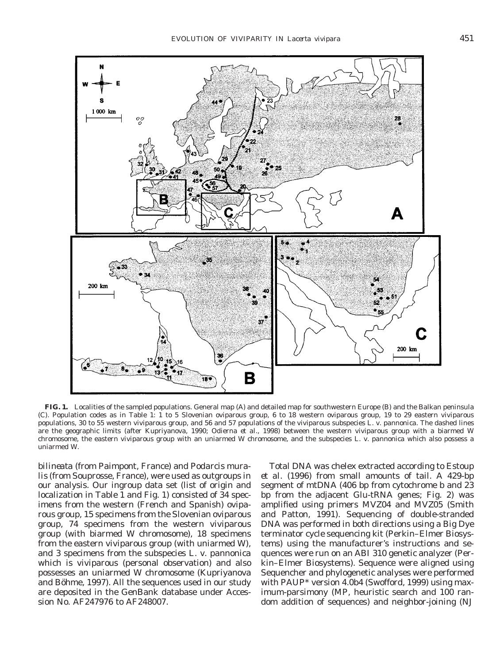

**FIG. 1.** Localities of the sampled populations. General map (A) and detailed map for southwestern Europe (B) and the Balkan peninsula (C). Population codes as in Table 1: 1 to 5 Slovenian oviparous group, 6 to 18 western oviparous group, 19 to 29 eastern viviparous populations, 30 to 55 western viviparous group, and 56 and 57 populations of the viviparous subspecies *L. v. pannonica.* The dashed lines are the geographic limits (after Kupriyanova, 1990; Odierna *et al.,* 1998) between the western viviparous group with a biarmed W chromosome, the eastern viviparous group with an uniarmed W chromosome, and the subspecies *L. v. pannonica* which also possess a uniarmed W.

*bilineata* (from Paimpont, France) and *Podarcis muralis* (from Souprosse, France), were used as outgroups in our analysis. Our ingroup data set (list of origin and localization in Table 1 and Fig. 1) consisted of 34 specimens from the western (French and Spanish) oviparous group, 15 specimens from the Slovenian oviparous group, 74 specimens from the western viviparous group (with biarmed W chromosome), 18 specimens from the eastern viviparous group (with uniarmed W), and 3 specimens from the subspecies *L. v. pannonica* which is viviparous (personal observation) and also possesses an uniarmed W chromosome (Kupriyanova and Böhme, 1997). All the sequences used in our study are deposited in the GenBank database under Accession No. AF247976 to AF248007.

Total DNA was chelex extracted according to Estoup *et al.* (1996) from small amounts of tail. A 429-bp segment of mtDNA (406 bp from cytochrome *b* and 23 bp from the adjacent Glu-tRNA genes; Fig. 2) was amplified using primers MVZ04 and MVZ05 (Smith and Patton, 1991). Sequencing of double-stranded DNA was performed in both directions using a Big Dye terminator cycle sequencing kit (Perkin–Elmer Biosystems) using the manufacturer's instructions and sequences were run on an ABI 310 genetic analyzer (Perkin–Elmer Biosystems). Sequence were aligned using Sequencher and phylogenetic analyses were performed with PAUP\* version 4.0b4 (Swofford, 1999) using maximum-parsimony (MP, heuristic search and 100 random addition of sequences) and neighbor-joining (NJ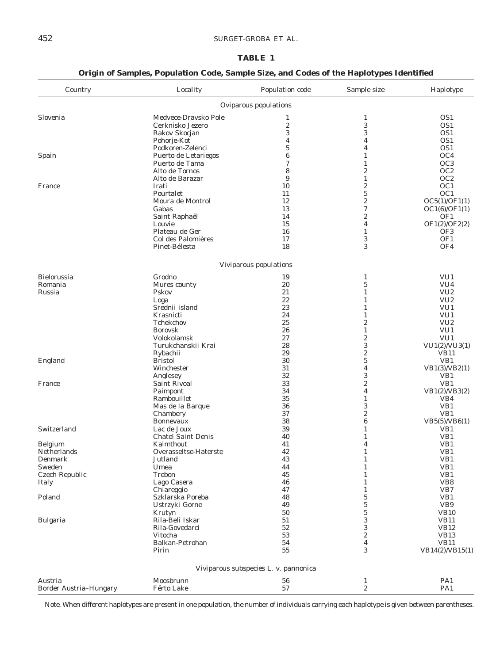## **TABLE 1**

## **Origin of Samples, Population Code, Sample Size, and Codes of the Haplotypes Identified**

| Country                       | Locality                  | Population code                       | Sample size      | Haplotype        |
|-------------------------------|---------------------------|---------------------------------------|------------------|------------------|
|                               |                           | Oviparous populations                 |                  |                  |
| Slovenia                      | Medvece-Dravsko Pole      | 1                                     | $\mathbf{1}$     | OS <sub>1</sub>  |
|                               | Cerknisko Jezero          | $\boldsymbol{2}$                      | 3                | OS <sub>1</sub>  |
|                               | Rakov Skocjan             | 3                                     | 3                | OS <sub>1</sub>  |
|                               | Pohorje-Kot               | 4                                     | 4                | OS <sub>1</sub>  |
|                               | Podkoren-Zelenci          | 5                                     | 4                | OS <sub>1</sub>  |
| Spain                         | Puerto de Letariegos      | 6                                     | 1                | OC <sub>4</sub>  |
|                               | Puerto de Tama            | 7                                     | 1                | OC <sub>3</sub>  |
|                               | Alto de Tornos            | 8                                     | $\boldsymbol{2}$ | OC <sub>2</sub>  |
|                               | Alto de Barazar           | 9                                     | $\mathbf{1}$     | OC <sub>2</sub>  |
| France                        | Irati                     | 10                                    | $\boldsymbol{2}$ | OC <sub>1</sub>  |
|                               | Pourtalet                 | 11                                    | $\bf 5$          | OC1              |
|                               | Moura de Montrol          | 12                                    | $\boldsymbol{2}$ | OC5(1)/OF1(1)    |
|                               | Gabas                     | 13                                    | $\boldsymbol{7}$ | OC1(6)/OF1(1)    |
|                               |                           |                                       | $\boldsymbol{2}$ |                  |
|                               | Saint Raphaël             | 14                                    |                  | OF1              |
|                               | Louvie                    | 15                                    | 4                | OF1(2)/OF2(2)    |
|                               | Plateau de Ger            | 16                                    | $\mathbf{1}$     | OF3              |
|                               | Col des Palomières        | 17                                    | 3                | OF1              |
|                               | Pinet-Bélesta             | 18                                    | 3                | OF4              |
|                               |                           | Viviparous populations                |                  |                  |
| <b>Bielorussia</b>            | Grodno                    | 19                                    | $\mathbf{1}$     | VU1              |
| Romania                       | Mures county              | 20                                    | $\overline{5}$   | VU <sub>4</sub>  |
| Russia                        | Pskov                     | 21                                    | $\mathbf{1}$     | VU <sub>2</sub>  |
|                               | Loga                      | 22                                    | $\mathbf{1}$     | VU <sub>2</sub>  |
|                               | Srednii island            | 23                                    | 1                | VU1              |
|                               | Krasnicti                 | 24                                    | $\mathbf{1}$     | VU1              |
|                               | Tchekchov                 | 25                                    | $\boldsymbol{2}$ | VU <sub>2</sub>  |
|                               | <b>Borovsk</b>            | 26                                    | $\mathbf{1}$     | VU1              |
|                               | Volokolamsk               | 27                                    | $\boldsymbol{2}$ | VU1              |
|                               |                           |                                       |                  |                  |
|                               | Turukchanskii Krai        | 28                                    | 3                | VU1(2)/VU3(1)    |
|                               | Rybachii                  | 29                                    | $\boldsymbol{2}$ | VB <sub>11</sub> |
| England                       | <b>Bristol</b>            | 30                                    | $\overline{5}$   | VB1              |
|                               | Winchester                | 31                                    | 4                | VB1(3)/VB2(1)    |
|                               | Anglesey                  | 32                                    | 3                | VB1              |
| France                        | Saint Rivoal              | 33                                    | $\boldsymbol{2}$ | V <sub>B1</sub>  |
|                               | Paimpont                  | 34                                    | 4                | VB1(2)/VB3(2)    |
|                               | Rambouillet               | 35                                    | $\mathbf{1}$     | VB4              |
|                               | Mas de la Barque          | 36                                    | 3                | VB1              |
|                               | Chambery                  | 37                                    | $\boldsymbol{2}$ | VB1              |
|                               | <b>Bonnevaux</b>          | 38                                    | $\boldsymbol{6}$ | VB5(5)/VB6(1)    |
| Switzerland                   | Lac de Joux               | 39                                    | 1                | VB1              |
|                               | <b>Chatel Saint Denis</b> | 40                                    | 1                | VB1              |
| Belgium                       | Kalmthout                 | 41                                    | 4                | VB1              |
| Netherlands                   | Overasseltse-Haterste     | 42                                    | $\mathbf{1}$     | VB1              |
| Denmark                       | Jutland                   | 43                                    | 1                | VB1              |
| Sweden                        | Umea                      | 44                                    | $\mathbf{1}$     | VB1              |
| <b>Czech Republic</b>         | Trebon                    | 45                                    | 1                | VB1              |
| Italy                         | Lago Casera               | 46                                    | $\mathbf{1}$     | VB8              |
|                               | Chiareggio                | 47                                    | 1                | VB7              |
| Poland                        | Szklarska Poreba          | 48                                    | $\overline{5}$   | VB1              |
|                               | Ustrzyki Gorne            | 49                                    | $\overline{5}$   | VB9              |
|                               | Krutyn                    | 50                                    | $\bf 5$          | <b>VB10</b>      |
|                               | Rila-Beli Iskar           | 51                                    | 3                | <b>VB11</b>      |
| <b>Bulgaria</b>               | Rila-Govedarci            | 52                                    | 3                | <b>VB12</b>      |
|                               | Vitocha                   | 53                                    | $\boldsymbol{2}$ | <b>VB13</b>      |
|                               |                           |                                       |                  |                  |
|                               | Balkan-Petrohan           | 54                                    | 4                | VB11             |
|                               | Pirin                     | 55                                    | 3                | VB14(2)/VB15(1)  |
|                               |                           | Viviparous subspecies L. v. pannonica |                  |                  |
| Austria                       | Moosbrunn                 | 56                                    | $\mathbf{1}$     | PA1              |
| <b>Border Austria-Hungary</b> | Fërto Lake                | 57                                    | $\boldsymbol{2}$ | PA1              |

*Note.* When different haplotypes are present in one population, the number of individuals carrying each haplotype is given between parentheses.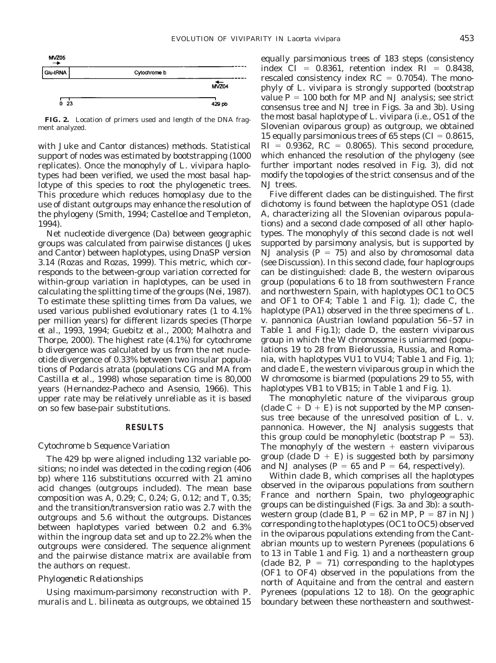

**FIG. 2.** Location of primers used and length of the DNA fragment analyzed.

with Juke and Cantor distances) methods. Statistical support of nodes was estimated by bootstrapping (1000 replicates). Once the monophyly of *L. vivipara* haplotypes had been verified, we used the most basal haplotype of this species to root the phylogenetic trees. This procedure which reduces homoplasy due to the use of distant outgroups may enhance the resolution of the phylogeny (Smith, 1994; Castelloe and Templeton, 1994).

Net nucleotide divergence (Da) between geographic groups was calculated from pairwise distances (Jukes and Cantor) between haplotypes, using DnaSP version 3.14 (Rozas and Rozas, 1999). This metric, which corresponds to the between-group variation corrected for within-group variation in haplotypes, can be used in calculating the splitting time of the groups (Nei, 1987). To estimate these splitting times from Da values, we used various published evolutionary rates (1 to 4.1% per million years) for different lizards species (Thorpe *et al.,* 1993, 1994; Guebitz *et al.,* 2000; Malhotra and Thorpe, 2000). The highest rate (4.1%) for cytochrome *b* divergence was calculated by us from the net nucleotide divergence of 0.33% between two insular populations of *Podarcis atrata* (populations CG and MA from Castilla *et al.,* 1998) whose separation time is 80,000 years (Hernandez-Pacheco and Asensio, 1966). This upper rate may be relatively unreliable as it is based on so few base-pair substitutions.

#### **RESULTS**

#### *Cytochrome b Sequence Variation*

The 429 bp were aligned including 132 variable positions; no indel was detected in the coding region (406 bp) where 116 substitutions occurred with 21 amino acid changes (outgroups included). The mean base composition was A, 0.29; C, 0.24; G, 0.12; and T, 0.35; and the transition/transversion ratio was 2.7 with the outgroups and 5.6 without the outgroups. Distances between haplotypes varied between 0.2 and 6.3% within the ingroup data set and up to 22.2% when the outgroups were considered. The sequence alignment and the pairwise distance matrix are available from the authors on request.

#### *Phylogenetic Relationships*

Using maximum-parsimony reconstruction with *P. muralis* and *L. bilineata* as outgroups, we obtained 15 equally parsimonious trees of 183 steps (consistency index  $CI = 0.8361$ , retention index  $RI = 0.8438$ , rescaled consistency index  $RC = 0.7054$ . The monophyly of *L. vivipara* is strongly supported (bootstrap value  $P = 100$  both for MP and NJ analysis; see strict consensus tree and NJ tree in Figs. 3a and 3b). Using the most basal haplotype of *L. vivipara* (i.e., OS1 of the Slovenian oviparous group) as outgroup, we obtained 15 equally parsimonious trees of 65 steps (CI =  $0.8615$ ,  $RI = 0.9362$ ,  $RC = 0.8065$ ). This second procedure, which enhanced the resolution of the phylogeny (see further important nodes resolved in Fig. 3), did not modify the topologies of the strict consensus and of the NJ trees.

Five different clades can be distinguished. The first dichotomy is found between the haplotype OS1 (clade A, characterizing all the Slovenian oviparous populations) and a second clade composed of all other haplotypes. The monophyly of this second clade is not well supported by parsimony analysis, but is supported by NJ analysis  $(P = 75)$  and also by chromosomal data (see Discussion). In this second clade, four haplogroups can be distinguished: clade B, the western oviparous group (populations 6 to 18 from southwestern France and northwestern Spain, with haplotypes OC1 to OC5 and OF1 to OF4; Table 1 and Fig. 1); clade C, the haplotype (PA1) observed in the three specimens of *L. v. pannonica* (Austrian lowland population 56–57 in Table 1 and Fig.1); clade D, the eastern viviparous group in which the W chromosome is uniarmed (populations 19 to 28 from Bielorussia, Russia, and Romania, with haplotypes VU1 to VU4; Table 1 and Fig. 1); and clade E, the western viviparous group in which the W chromosome is biarmed (populations 29 to 55, with haplotypes VB1 to VB15; in Table 1 and Fig. 1).

The monophyletic nature of the viviparous group (clade  $C + D + E$ ) is not supported by the MP consensus tree because of the unresolved position of *L. v. pannonica.* However, the NJ analysis suggests that this group could be monophyletic (bootstrap  $P = 53$ ). The monophyly of the western  $+$  eastern viviparous group (clade  $D + E$ ) is suggested both by parsimony and NJ analyses ( $P = 65$  and  $P = 64$ , respectively).

Within clade B, which comprises all the haplotypes observed in the oviparous populations from southern France and northern Spain, two phylogeographic groups can be distinguished (Figs. 3a and 3b): a southwestern group (clade B1,  $P = 62$  in MP,  $P = 87$  in NJ) corresponding to the haplotypes (OC1 to OC5) observed in the oviparous populations extending from the Cantabrian mounts up to western Pyrenees (populations 6 to 13 in Table 1 and Fig. 1) and a northeastern group (clade B2,  $P = 71$ ) corresponding to the haplotypes (OF1 to OF4) observed in the populations from the north of Aquitaine and from the central and eastern Pyrenees (populations 12 to 18). On the geographic boundary between these northeastern and southwest-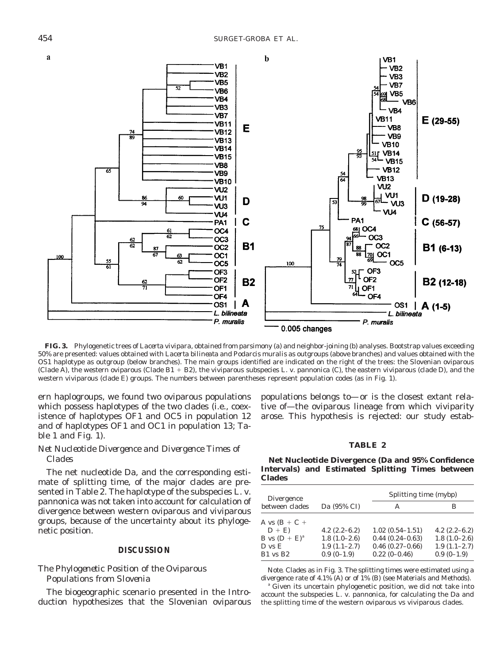

**FIG. 3.** Phylogenetic trees of *Lacerta vivipara,* obtained from parsimony (a) and neighbor-joining (b) analyses. Bootstrap values exceeding 50% are presented: values obtained with *Lacerta bilineata* and *Podarcis muralis* as outgroups (above branches) and values obtained with the OS1 haplotype as outgroup (below branches). The main groups identified are indicated on the right of the trees: the Slovenian oviparous (Clade A), the western oviparous (Clade B1 + B2), the viviparous subspecies *L. v. pannonica* (C), the eastern viviparous (clade D), and the western viviparous (clade E) groups. The numbers between parentheses represent population codes (as in Fig. 1).

ern haplogroups, we found two oviparous populations which possess haplotypes of the two clades (i.e., coexistence of haplotypes OF1 and OC5 in population 12 and of haplotypes OF1 and OC1 in population 13; Table 1 and Fig. 1).

### *Net Nucleotide Divergence and Divergence Times of Clades*

The net nucleotide Da, and the corresponding estimate of splitting time, of the major clades are presented in Table 2. The haplotype of the subspecies *L. v. pannonica* was not taken into account for calculation of divergence between western oviparous and viviparous groups, because of the uncertainty about its phylogenetic position.

## **DISCUSSION**

## *The Phylogenetic Position of the Oviparous Populations from Slovenia*

The biogeographic scenario presented in the Introduction hypothesizes that the Slovenian oviparous populations belongs to—or is the closest extant relative of—the oviparous lineage from which viviparity arose. This hypothesis is rejected: our study estab-

#### **TABLE 2**

#### **Net Nucleotide Divergence (Da and 95% Confidence Intervals) and Estimated Splitting Times between Clades**

| <b>Divergence</b>                                                                            |                                                                    | Splitting time (mybp)                                                             |                                                                    |  |
|----------------------------------------------------------------------------------------------|--------------------------------------------------------------------|-----------------------------------------------------------------------------------|--------------------------------------------------------------------|--|
| between clades                                                                               | Da (95% CI)                                                        | А                                                                                 | в                                                                  |  |
| A vs $(B + C +$<br>$D + E$<br>B vs $(D + E)^a$<br>D vs E<br>B <sub>1</sub> vs B <sub>2</sub> | $4.2(2.2-6.2)$<br>$1.8(1.0-2.6)$<br>$1.9(1.1-2.7)$<br>$0.9(0-1.9)$ | $1.02(0.54 - 1.51)$<br>$0.44(0.24 - 0.63)$<br>$0.46(0.27-0.66)$<br>$0.22(0-0.46)$ | $4.2(2.2-6.2)$<br>$1.8(1.0-2.6)$<br>$1.9(1.1-2.7)$<br>$0.9(0-1.9)$ |  |

*Note.* Clades as in Fig. 3. The splitting times were estimated using a divergence rate of 4.1% (A) or of 1% (B) (see Materials and Methods).

*<sup>a</sup>* Given its uncertain phylogenetic position, we did not take into account the subspecies *L. v. pannonica,* for calculating the Da and the splitting time of the western oviparous vs viviparous clades.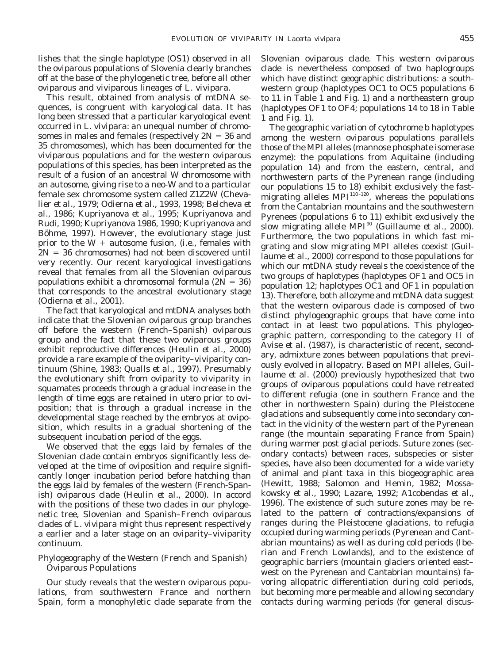lishes that the single haplotype (OS1) observed in all the oviparous populations of Slovenia clearly branches off at the base of the phylogenetic tree, before all other oviparous and viviparous lineages of *L. vivipara.*

This result, obtained from analysis of mtDNA sequences, is congruent with karyological data. It has long been stressed that a particular karyological event occurred in *L. vivipara:* an unequal number of chromosomes in males and females (respectively  $2N = 36$  and 35 chromosomes), which has been documented for the viviparous populations and for the western oviparous populations of this species, has been interpreted as the result of a fusion of an ancestral W chromosome with an autosome, giving rise to a neo-W and to a particular female sex chromosome system called Z1Z2W (Chevalier *et al.,* 1979; Odierna *et al.,* 1993, 1998; Belcheva *et al.,* 1986; Kupriyanova *et al.,* 1995; Kupriyanova and Rudi, 1990; Kupriyanova 1986, 1990; Kupriyanova and Böhme, 1997). However, the evolutionary stage just prior to the  $W +$  autosome fusion, (i.e., females with  $2N = 36$  chromosomes) had not been discovered until very recently. Our recent karyological investigations reveal that females from all the Slovenian oviparous populations exhibit a chromosomal formula  $(2N = 36)$ that corresponds to the ancestral evolutionary stage (Odierna *et al.,* 2001).

The fact that karyological and mtDNA analyses both indicate that the Slovenian oviparous group branches off before the western (French–Spanish) oviparous group and the fact that these two oviparous groups exhibit reproductive differences (Heulin *et al.,* 2000) provide a rare example of the oviparity–viviparity continuum (Shine, 1983; Qualls *et al.,* 1997). Presumably the evolutionary shift from oviparity to viviparity in squamates proceeds through a gradual increase in the length of time eggs are retained *in utero* prior to oviposition; that is through a gradual increase in the developmental stage reached by the embryos at oviposition, which results in a gradual shortening of the subsequent incubation period of the eggs.

We observed that the eggs laid by females of the Slovenian clade contain embryos significantly less developed at the time of oviposition and require significantly longer incubation period before hatching than the eggs laid by females of the western (French-Spanish) oviparous clade (Heulin *et al.,* 2000). In accord with the positions of these two clades in our phylogenetic tree, Slovenian and Spanish–French oviparous clades of *L. vivipara* might thus represent respectively a earlier and a later stage on an oviparity–viviparity continuum.

## *Phylogeography of the Western (French and Spanish) Oviparous Populations*

Our study reveals that the western oviparous populations, from southwestern France and northern Spain, form a monophyletic clade separate from the Slovenian oviparous clade. This western oviparous clade is nevertheless composed of two haplogroups which have distinct geographic distributions: a southwestern group (haplotypes OC1 to OC5 populations 6 to 11 in Table 1 and Fig. 1) and a northeastern group (haplotypes OF1 to OF4; populations 14 to 18 in Table 1 and Fig. 1).

The geographic variation of cytochrome *b* haplotypes among the western oviparous populations parallels those of the *MPI* alleles (mannose phosphate isomerase enzyme): the populations from Aquitaine (including population 14) and from the eastern, central, and northwestern parts of the Pyrenean range (including our populations 15 to 18) exhibit exclusively the fastmigrating alleles *MPI110–120,* whereas the populations from the Cantabrian mountains and the southwestern Pyrenees (populations 6 to 11) exhibit exclusively the slow migrating allele *MPI<sup>90</sup>* (Guillaume *et al.,* 2000). Furthermore, the two populations in which fast migrating and slow migrating *MPI* alleles coexist (Guillaume *et al.,* 2000) correspond to those populations for which our mtDNA study reveals the coexistence of the two groups of haplotypes (haplotypes OF1 and OC5 in population 12; haplotypes OC1 and OF1 in population 13). Therefore, both allozyme and mtDNA data suggest that the western oviparous clade is composed of two distinct phylogeographic groups that have come into contact in at least two populations. This phylogeographic pattern, corresponding to the category II of Avise *et al.* (1987), is characteristic of recent, secondary, admixture zones between populations that previously evolved in allopatry. Based on *MPI* alleles, Guillaume *et al.* (2000) previously hypothesized that two groups of oviparous populations could have retreated to different refugia (one in southern France and the other in northwestern Spain) during the Pleistocene glaciations and subsequently come into secondary contact in the vicinity of the western part of the Pyrenean range (the mountain separating France from Spain) during warmer post glacial periods. Suture zones (secondary contacts) between races, subspecies or sister species, have also been documented for a wide variety of animal and plant taxa in this biogeographic area (Hewitt, 1988; Salomon and Hemin, 1982; Mossakowsky *et al.,* 1990; Lazare, 1992; A1cobendas *et al.,* 1996). The existence of such suture zones may be related to the pattern of contractions/expansions of ranges during the Pleistocene glaciations, to refugia occupied during warming periods (Pyrenean and Cantabrian mountains) as well as during cold periods (Iberian and French Lowlands), and to the existence of geographic barriers (mountain glaciers oriented east– west on the Pyrenean and Cantabrian mountains) favoring allopatric differentiation during cold periods, but becoming more permeable and allowing secondary contacts during warming periods (for general discus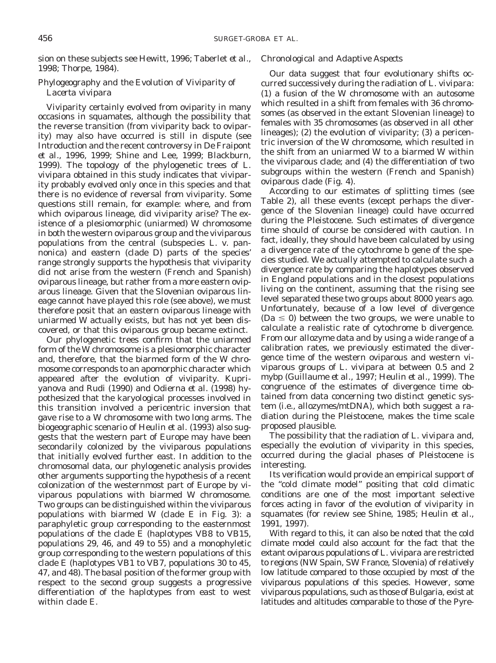sion on these subjects see Hewitt, 1996; Taberlet *et al.,* 1998; Thorpe, 1984).

## *Phylogeography and the Evolution of Viviparity of Lacerta vivipara*

Viviparity certainly evolved from oviparity in many occasions in squamates, although the possibility that the reverse transition (from viviparity back to oviparity) may also have occurred is still in dispute (see Introduction and the recent controversy in De Fraipont *et al.,* 1996, 1999; Shine and Lee, 1999; Blackburn, 1999). The topology of the phylogenetic trees of *L. vivipara* obtained in this study indicates that viviparity probably evolved only once in this species and that there is no evidence of reversal from viviparity. Some questions still remain, for example: where, and from which oviparous lineage, did viviparity arise? The existence of a plesiomorphic (uniarmed) W chromosome in both the western oviparous group and the viviparous populations from the central (subspecies *L. v. pannonica*) and eastern (clade D) parts of the species' range strongly supports the hypothesis that viviparity did not arise from the western (French and Spanish) oviparous lineage, but rather from a more eastern oviparous lineage. Given that the Slovenian oviparous lineage cannot have played this role (see above), we must therefore posit that an eastern oviparous lineage with uniarmed W actually exists, but has not yet been discovered, or that this oviparous group became extinct.

Our phylogenetic trees confirm that the uniarmed form of the W chromosome is a plesiomorphic character and, therefore, that the biarmed form of the W chromosome corresponds to an apomorphic character which appeared after the evolution of viviparity. Kupriyanova and Rudi (1990) and Odierna *et al.* (1998) hypothesized that the karyological processes involved in this transition involved a pericentric inversion that gave rise to a W chromosome with two long arms. The biogeographic scenario of Heulin *et al.* (1993) also suggests that the western part of Europe may have been secondarily colonized by the viviparous populations that initially evolved further east. In addition to the chromosomal data, our phylogenetic analysis provides other arguments supporting the hypothesis of a recent colonization of the westernmost part of Europe by viviparous populations with biarmed W chromosome. Two groups can be distinguished within the viviparous populations with biarmed W (clade E in Fig. 3): a paraphyletic group corresponding to the easternmost populations of the clade E (haplotypes VB8 to VB15, populations 29, 46, and 49 to 55) and a monophyletic group corresponding to the western populations of this clade E (haplotypes VB1 to VB7, populations 30 to 45, 47, and 48). The basal position of the former group with respect to the second group suggests a progressive differentiation of the haplotypes from east to west within clade E.

#### *Chronological and Adaptive Aspects*

Our data suggest that four evolutionary shifts occurred successively during the radiation of *L. vivipara:* (1) a fusion of the W chromosome with an autosome which resulted in a shift from females with 36 chromosomes (as observed in the extant Slovenian lineage) to females with 35 chromosomes (as observed in all other lineages); (2) the evolution of viviparity; (3) a pericentric inversion of the W chromosome, which resulted in the shift from an uniarmed W to a biarmed W within the viviparous clade; and (4) the differentiation of two subgroups within the western (French and Spanish) oviparous clade (Fig. 4).

According to our estimates of splitting times (see Table 2), all these events (except perhaps the divergence of the Slovenian lineage) could have occurred during the Pleistocene. Such estimates of divergence time should of course be considered with caution. In fact, ideally, they should have been calculated by using a divergence rate of the cytochrome *b* gene of the species studied. We actually attempted to calculate such a divergence rate by comparing the haplotypes observed in England populations and in the closest populations living on the continent, assuming that the rising see level separated these two groups about 8000 years ago. Unfortunately, because of a low level of divergence (Da  $\leq$  0) between the two groups, we were unable to calculate a realistic rate of cytochrome *b* divergence. From our allozyme data and by using a wide range of a calibration rates, we previously estimated the divergence time of the western oviparous and western viviparous groups of *L. vivipara* at between 0.5 and 2 mybp (Guillaume *et al.,* 1997; Heulin *et al.,* 1999). The congruence of the estimates of divergence time obtained from data concerning two distinct genetic system (i.e., allozymes/mtDNA), which both suggest a radiation during the Pleistocene, makes the time scale proposed plausible.

The possibility that the radiation of *L. vivipara* and, especially the evolution of viviparity in this species, occurred during the glacial phases of Pleistocene is interesting.

Its verification would provide an empirical support of the "cold climate model" positing that cold climatic conditions are one of the most important selective forces acting in favor of the evolution of viviparity in squamates (for review see Shine, 1985; Heulin *et al.,* 1991, 1997).

With regard to this, it can also be noted that the cold climate model could also account for the fact that the extant oviparous populations of *L. vivipara* are restricted to regions (NW Spain, SW France, Slovenia) of relatively low latitude compared to those occupied by most of the viviparous populations of this species. However, some viviparous populations, such as those of Bulgaria, exist at latitudes and altitudes comparable to those of the Pyre-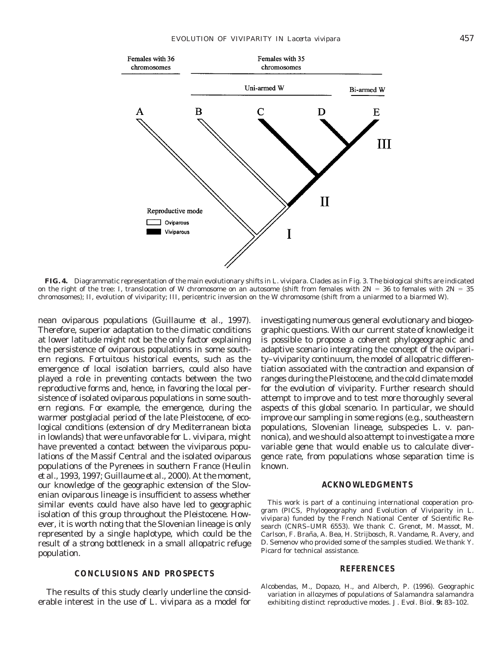

**FIG. 4.** Diagrammatic representation of the main evolutionary shifts in *L. vivipara.* Clades as in Fig. 3. The biological shifts are indicated on the right of the tree: I, translocation of W chromosome on an autosome (shift from females with  $2N = 36$  to females with  $2N = 35$ chromosomes); II, evolution of viviparity; III, pericentric inversion on the W chromosome (shift from a uniarmed to a biarmed W).

nean oviparous populations (Guillaume *et al.,* 1997). Therefore, superior adaptation to the climatic conditions at lower latitude might not be the only factor explaining the persistence of oviparous populations in some southern regions. Fortuitous historical events, such as the emergence of local isolation barriers, could also have played a role in preventing contacts between the two reproductive forms and, hence, in favoring the local persistence of isolated oviparous populations in some southern regions. For example, the emergence, during the warmer postglacial period of the late Pleistocene, of ecological conditions (extension of dry Mediterranean biota in lowlands) that were unfavorable for *L. vivipara,* might have prevented a contact between the viviparous populations of the Massif Central and the isolated oviparous populations of the Pyrenees in southern France (Heulin *et al.,* 1993, 1997; Guillaume *et al.,* 2000). At the moment, our knowledge of the geographic extension of the Slovenian oviparous lineage is insufficient to assess whether similar events could have also have led to geographic isolation of this group throughout the Pleistocene. However, it is worth noting that the Slovenian lineage is only represented by a single haplotype, which could be the result of a strong bottleneck in a small allopatric refuge population.

## **CONCLUSIONS AND PROSPECTS**

The results of this study clearly underline the considerable interest in the use of *L. vivipara* as a model for investigating numerous general evolutionary and biogeographic questions. With our current state of knowledge it is possible to propose a coherent phylogeographic and adaptive scenario integrating the concept of the oviparity–viviparity continuum, the model of allopatric differentiation associated with the contraction and expansion of ranges during the Pleistocene, and the cold climate model for the evolution of viviparity. Further research should attempt to improve and to test more thoroughly several aspects of this global scenario. In particular, we should improve our sampling in some regions (e.g., southeastern populations, Slovenian lineage, subspecies *L. v. pannonica*), and we should also attempt to investigate a more variable gene that would enable us to calculate divergence rate, from populations whose separation time is known.

#### **ACKNOWLEDGMENTS**

This work is part of a continuing international cooperation program (PICS, Phylogeography and Evolution of Viviparity in *L. vivipara*) funded by the French National Center of Scientific Research (CNRS–UMR 6553). We thank C. Grenot, M. Massot, M. Carlson, F. Braña, A. Bea, H. Strijbosch, R. Vandame, R. Avery, and D. Semenov who provided some of the samples studied. We thank Y. Picard for technical assistance.

#### **REFERENCES**

Alcobendas, M., Dopazo, H., and Alberch, P. (1996). Geographic variation in allozymes of populations of *Salamandra salamandra* exhibiting distinct reproductive modes. *J. Evol. Biol.* **9:** 83–102.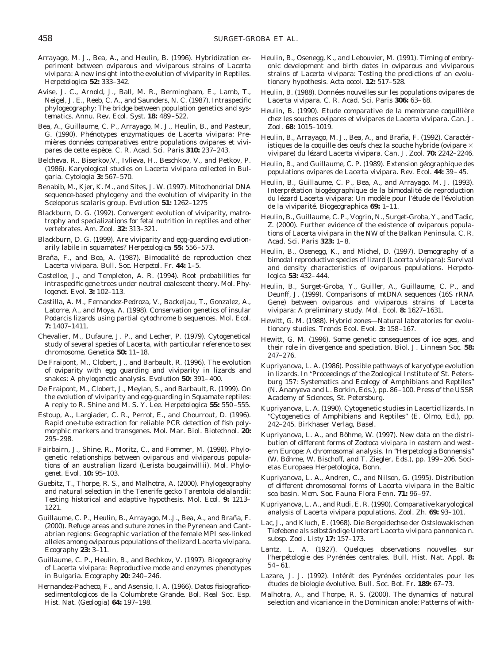- Arrayago, M. J., Bea, A., and Heulin, B. (1996). Hybridization experiment between oviparous and viviparous strains of *Lacerta vivipara:* A new insight into the evolution of viviparity in Reptiles. *Herpetologica* **52:** 333–342.
- Avise, J. C., Arnold, J., Ball, M. R., Bermingham, E., Lamb, T., Neigel, J. E., Reeb, C. A., and Saunders, N. C. (1987). Intraspecific phylogeography: The bridge between population genetics and systematics. *Annu. Rev. Ecol. Syst.* **18:** 489–522.
- Bea, A., Guillaume, C. P., Arrayago, M. J., Heulin, B., and Pasteur, G. (1990). Phénotypes enzymatiques de *Lacerta vivipara:* Premières données comparatives entre populations ovipares et vivipares de cette espe`ce. *C. R. Acad. Sci. Paris* **310:** 237–243.
- Belcheva, R., Biserkov,V., Ivlieva, H., Beschkov, V., and Petkov, P. (1986). Karyological studies on *Lacerta vivipara* collected in Bulgaria. *Cytologia* **3:** 567–570.
- Benabib, M., Kjer, K. M., and Sites, J. W. (1997). Mitochondrial DNA sequence-based phylogeny and the evolution of viviparity in the *Sceloporus scalaris* group. *Evolution* **51:** 1262–1275
- Blackburn, D. G. (1992). Convergent evolution of viviparity, matrotrophy and specializations for fetal nutrition in reptiles and other vertebrates. *Am. Zool.* **32:** 313–321.
- Blackburn, D. G. (1999). Are viviparity and egg-guarding evolutionarily labile in squamates? *Herpetologica* **55:** 556–573.
- Braña, F., and Bea, A. (1987). Bimodalité de reproduction chez *Lacerta vivipara. Bull. Soc. Herpetol. Fr.* **44:** 1–5.
- Castelloe, J., and Templeton, A. R. (1994). Root probabilities for intraspecific gene trees under neutral coalescent theory. *Mol. Phylogenet. Evol.* **3:** 102–113.
- Castilla, A. M., Fernandez-Pedroza, V., Backeljau, T., Gonzalez, A., Latorre, A., and Moya, A. (1998). Conservation genetics of insular Podarcis lizards using partial cytochrome b sequences. *Mol. Ecol.* **7:** 1407–1411.
- Chevalier, M., Dufaure, J. P., and Lecher, P. (1979). Cytogenetical study of several species of *Lacerta,* with particular reference to sex chromosome. *Genetica* **50:** 11–18.
- De Fraipont, M., Clobert, J., and Barbault, R. (1996). The evolution of oviparity with egg guarding and viviparity in lizards and snakes: A phylogenetic analysis. *Evolution* **50:** 391–400.
- De Fraipont, M., Clobert, J., Meylan, S., and Barbault, R. (1999). On the evolution of viviparity and egg-guarding in Squamate reptiles: A reply to R. Shine and M. S. Y. Lee. *Herpetologica* **55:** 550–555.
- Estoup, A., Largiader, C. R., Perrot, E., and Chourrout, D. (1996). Rapid one-tube extraction for reliable PCR detection of fish polymorphic markers and transgenes. *Mol. Mar. Biol. Biotechnol.* **20:** 295–298.
- Fairbairn, J., Shine, R., Moritz, C., and Fommer, M. (1998). Phylogenetic relationships between oviparous and viviparous populations of an australian lizard (*Lerista bougainvillii*). *Mol. Phylogenet. Evol.* **10:** 95–103.
- Guebitz, T., Thorpe, R. S., and Malhotra, A. (2000). Phylogeography and natural selection in the Tenerife gecko *Tarentola delalandii:* Testing historical and adaptive hypothesis. *Mol. Ecol.* **9:** 1213– 1221.
- Guillaume, C. P., Heulin, B., Arrayago, M..J., Bea, A., and Braña, F. (2000). Refuge areas and suture zones in the Pyrenean and Cantabrian regions: Geographic variation of the female MPI sex-linked alleles among oviparous populations of the lizard *Lacerta vivipara. Ecography* **23:** 3–11.
- Guillaume, C. P., Heulin, B., and Bechkov, V. (1997). Biogeography of *Lacerta vivipara:* Reproductive mode and enzymes phenotypes in Bulgaria. *Ecography* **20:** 240–246.
- Hernandez-Pacheco, F., and Asensio, I. A. (1966). Datos fisiograficosedimentologicos de la Columbrete Grande. *Bol. Real Soc. Esp. Hist. Nat. (Geologia)* **64:** 197–198.
- Heulin, B., Osenegg, K., and Lebouvier, M. (1991). Timing of embryonic development and birth dates in oviparous and viviparous strains of *Lacerta vivipara:* Testing the predictions of an evolutionary hypothesis. *Acta oecol.* **12:** 517–528.
- Heulin, B. (1988). Données nouvelles sur les populations ovipares de *Lacerta vivipara. C. R. Acad. Sci. Paris* **306:** 63–68.
- Heulin, B. (1990). Etude comparative de la membrane coquillière chez les souches ovipares et vivipares de *Lacerta vivipara. Can. J. Zool.* **68:** 1015–1019.
- Heulin, B., Arrayago, M. J., Bea, A., and Braña, F. (1992). Caractéristiques de la coquille des oeufs chez la souche hybride (ovipare  $\times$ vivipare) du lézard *Lacerta vivipara. Can. J. Zool.* **70:** 2242-2246.
- Heulin, B., and Guillaume, C. P. (1989). Extension géographique des populations ovipares de *Lacerta vivipara. Rev. Ecol.* **44:** 39–45.
- Heulin, B., Guillaume, C. P., Bea, A., and Arrayago, M. J. (1993). Interprétation biogéographique de la bimodalité de reproduction du lézard *Lacerta vivipara:* Un modèle pour l'étude de l'évolution de la viviparite´. *Biogeographica* **69:** 1–11.
- Heulin, B., Guillaume, C. P., Vogrin, N., Surget-Groba, Y., and Tadic, Z. (2000). Further evidence of the existence of oviparous populations of *Lacerta vivipara* in the NW of the Balkan Peninsula. *C. R. Acad. Sci. Paris* **323:** 1–8.
- Heulin, B., Osenegg, K., and Michel, D. (1997). Demography of a bimodal reproductive species of lizard (*Lacerta vivipara*): Survival and density characteristics of oviparous populations. *Herpetologica* **53:** 432–444.
- Heulin, B., Surget-Groba, Y., Guiller, A., Guillaume, C. P., and Deunff, J. (1999). Comparisons of mtDNA sequences (16S rRNA Gene) between oviparous and viviparous strains of *Lacerta vivipara:* A preliminary study. *Mol. Ecol.* **8:** 1627–1631.
- Hewitt, G. M. (1988). Hybrid zones—Natural laboratories for evolutionary studies. *Trends Ecol. Evol.* **3:** 158–167.
- Hewitt, G. M. (1996). Some genetic consequences of ice ages, and their role in divergence and speciation. *Biol. J. Linnean Soc.* **58:** 247–276.
- Kupriyanova, L. A. (1986). Possible pathways of karyotype evolution in lizards. *In* "Proceedings of the Zoological Institute of St. Petersburg 157: Systematics and Ecology of Amphibians and Reptiles" (N. Ananyeva and L. Borkin, Eds.), pp. 86–100. Press of the USSR Academy of Sciences, St. Petersburg.
- Kupriyanova, L. A. (1990). Cytogenetic studies in Lacertid lizards. *In* "Cytogenetics of Amphibians and Reptiles" (E. Olmo, Ed.), pp. 242–245. Birkhaser Verlag, Basel.
- Kupriyanova, L. A., and Böhme, W. (1997). New data on the distribution of different forms of *Zootoca vivipara* in eastern and western Europe: A chromosomal analysis. *In* "Herpetologia Bonnensis" (W. Böhme, W. Bischoff, and T. Ziegler, Eds.), pp. 199-206. Societas Europaea Herpetologica, Bonn.
- Kupriyanova, L. A., Andren, C., and Nilson, G. (1995). Distribution of different chromosomal forms of *Lacerta vivipara* in the Baltic sea basin. *Mem. Soc. Fauna Flora Fenn.* **71:** 96–97.
- Kupriyanova, L. A., and Rudi, E. R. (1990). Comparative karyological analysis of *Lacerta vivipara* populations. *Zool. Zh.* **69:** 93–101.
- Lac, J., and Kluch, E. (1968). Die Bergeidechse der Ostslowakischen Tiefebene als selbständige Unterart *Lacerta vivipara pannonica* n. subsp. *Zool. Listy* **17:** 157–173.
- Lantz, L. A. (1927). Quelques observations nouvelles sur l'herpétologie des Pyrénées centrales. *Bull. Hist. Nat. Appl.* 8: 54–61.
- Lazare, J. J. (1992). Intérêt des Pyrénées occidentales pour les études de biologie évolutive. *Bull. Soc. Bot. Fr.* 189: 67-73.
- Malhotra, A., and Thorpe, R. S. (2000). The dynamics of natural selection and vicariance in the Dominican anole: Patterns of with-